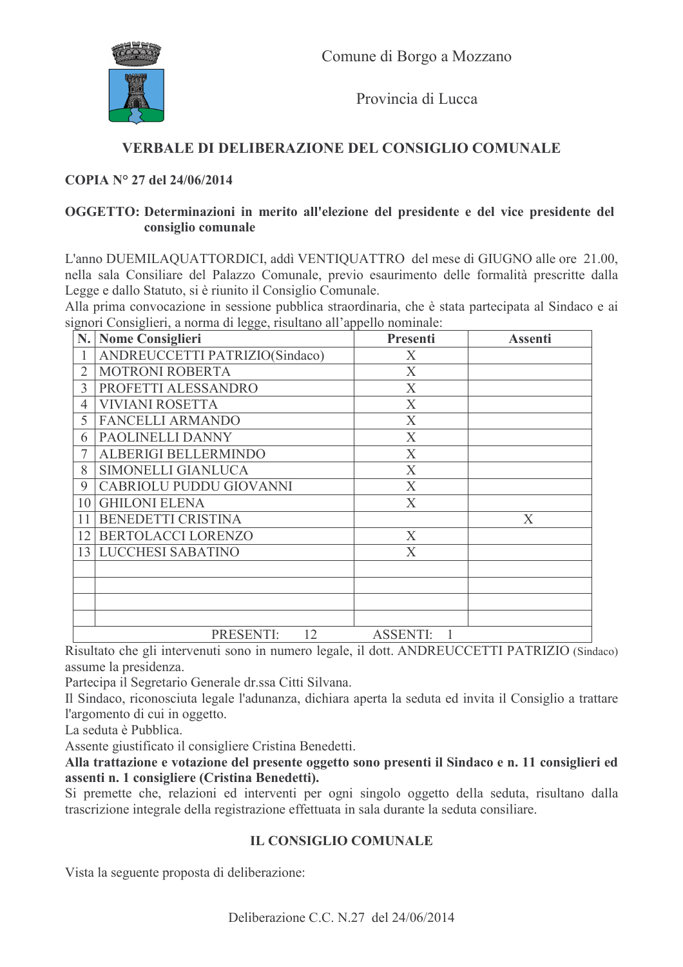

Provincia di Lucca

## VERBALE DI DELIBERAZIONE DEL CONSIGLIO COMUNALE

#### COPIA Nº 27 del 24/06/2014

#### OGGETTO: Determinazioni in merito all'elezione del presidente e del vice presidente del consiglio comunale

L'anno DUEMILAQUATTORDICI, addi VENTIQUATTRO del mese di GIUGNO alle ore 21.00, nella sala Consiliare del Palazzo Comunale, previo esaurimento delle formalità prescritte dalla Legge e dallo Statuto, si è riunito il Consiglio Comunale.

Alla prima convocazione in sessione pubblica straordinaria, che è stata partecipata al Sindaco e ai signori Consiglieri a norma di legge risultano all'appello nominale

|    | N. Nome Consiglieri            | Presenti                  | <b>Assenti</b> |
|----|--------------------------------|---------------------------|----------------|
|    | ANDREUCCETTI PATRIZIO(Sindaco) | X                         |                |
| 2  | <b>MOTRONI ROBERTA</b>         | X                         |                |
| 3  | PROFETTI ALESSANDRO            | X                         |                |
| 4  | <b>VIVIANI ROSETTA</b>         | $\boldsymbol{\mathrm{X}}$ |                |
| 5  | <b>FANCELLI ARMANDO</b>        | $\boldsymbol{\mathrm{X}}$ |                |
| 6  | PAOLINELLI DANNY               | X                         |                |
|    | ALBERIGI BELLERMINDO           | $\boldsymbol{X}$          |                |
| 8  | SIMONELLI GIANLUCA             | X                         |                |
| 9  | CABRIOLU PUDDU GIOVANNI        | X                         |                |
| 10 | <b>GHILONI ELENA</b>           | X                         |                |
| 11 | BENEDETTI CRISTINA             |                           | X              |
| 12 | BERTOLACCI LORENZO             | X                         |                |
|    | 13 LUCCHESI SABATINO           | X                         |                |
|    |                                |                           |                |
|    |                                |                           |                |
|    |                                |                           |                |
|    |                                |                           |                |
|    | PRESENTI:<br>12                | <b>ASSENTI:</b>           |                |

Risultato che gli intervenuti sono in numero legale, il dott. ANDREUCCETTI PATRIZIO (Sindaco) assume la presidenza.

Partecipa il Segretario Generale dr.ssa Citti Silvana.

Il Sindaco, riconosciuta legale l'adunanza, dichiara aperta la seduta ed invita il Consiglio a trattare l'argomento di cui in oggetto.

La seduta è Pubblica.

Assente giustificato il consigliere Cristina Benedetti.

Alla trattazione e votazione del presente oggetto sono presenti il Sindaco e n. 11 consiglieri ed assenti n. 1 consigliere (Cristina Benedetti).

Si premette che, relazioni ed interventi per ogni singolo oggetto della seduta, risultano dalla trascrizione integrale della registrazione effettuata in sala durante la seduta consiliare.

## **IL CONSIGLIO COMUNALE**

Vista la seguente proposta di deliberazione: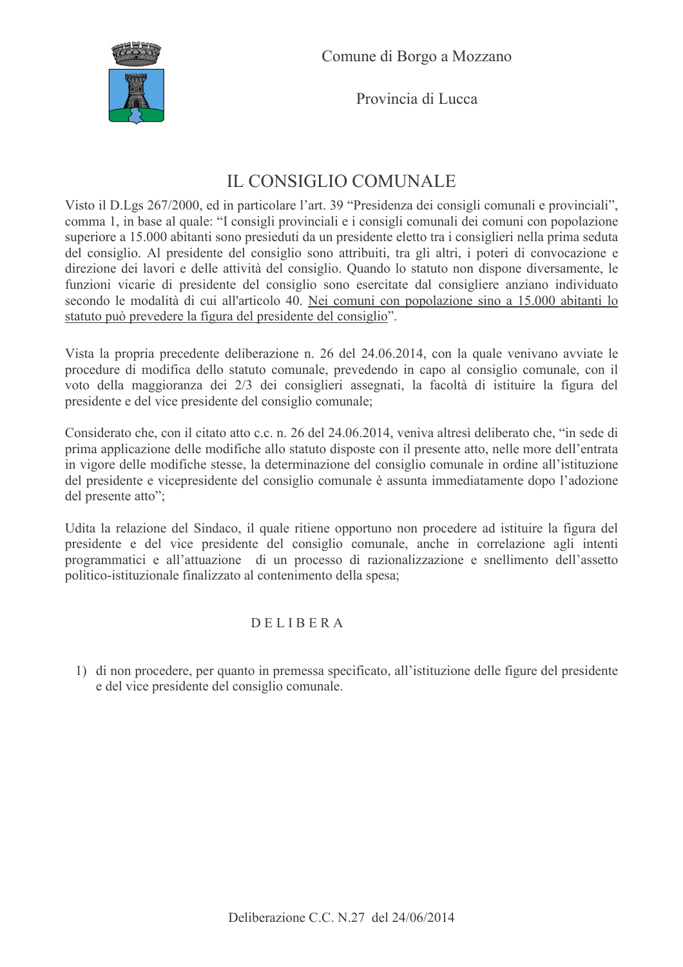

Provincia di Lucca

# IL CONSIGLIO COMUNALE

Visto il D.Lgs 267/2000, ed in particolare l'art. 39 "Presidenza dei consigli comunali e provinciali", comma 1, in base al quale: "I consigli provinciali e i consigli comunali dei comuni con popolazione superiore a 15.000 abitanti sono presieduti da un presidente eletto tra i consiglieri nella prima seduta del consiglio. Al presidente del consiglio sono attribuiti, tra gli altri, i poteri di convocazione e direzione dei lavori e delle attività del consiglio. Quando lo statuto non dispone diversamente, le funzioni vicarie di presidente del consiglio sono esercitate dal consigliere anziano individuato secondo le modalità di cui all'articolo 40. Nei comuni con popolazione sino a 15.000 abitanti lo statuto può prevedere la figura del presidente del consiglio".

Vista la propria precedente deliberazione n. 26 del 24.06.2014, con la quale venivano avviate le procedure di modifica dello statuto comunale, prevedendo in capo al consiglio comunale, con il voto della maggioranza dei 2/3 dei consiglieri assegnati, la facoltà di istituire la figura del presidente e del vice presidente del consiglio comunale;

Considerato che, con il citato atto c.c. n. 26 del 24.06.2014, veniva altresì deliberato che, "in sede di prima applicazione delle modifiche allo statuto disposte con il presente atto, nelle more dell'entrata in vigore delle modifiche stesse, la determinazione del consiglio comunale in ordine all'istituzione del presidente e vicepresidente del consiglio comunale è assunta immediatamente dopo l'adozione del presente atto";

Udita la relazione del Sindaco, il quale ritiene opportuno non procedere ad istituire la figura del presidente e del vice presidente del consiglio comunale, anche in correlazione agli intenti programmatici e all'attuazione di un processo di razionalizzazione e snellimento dell'assetto politico-istituzionale finalizzato al contenimento della spesa;

# DELIBERA

1) di non procedere, per quanto in premessa specificato, all'istituzione delle figure del presidente e del vice presidente del consiglio comunale.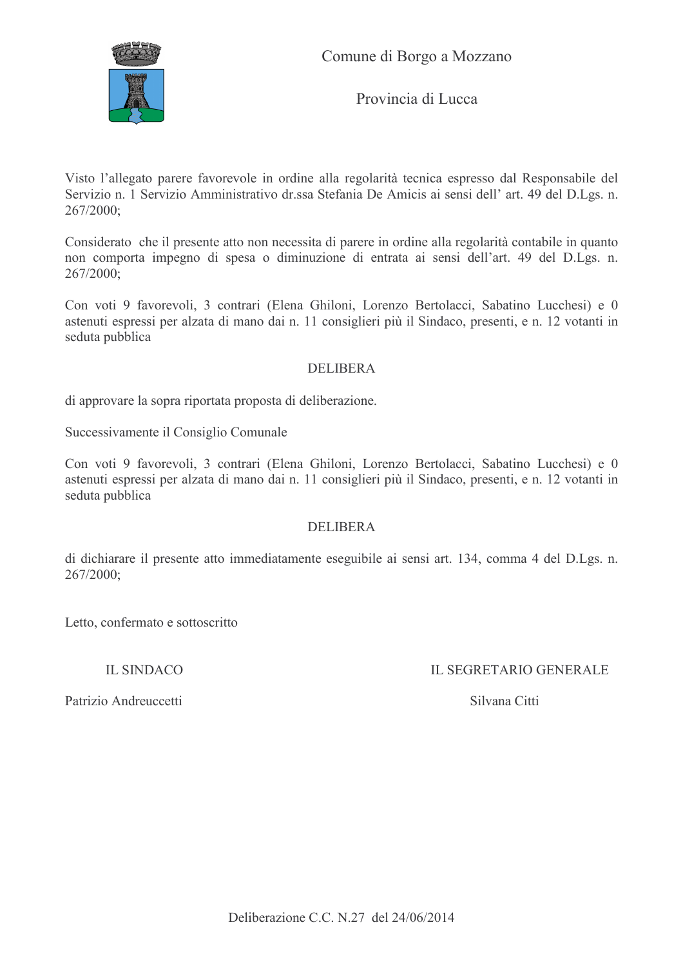

Comune di Borgo a Mozzano

Provincia di Lucca

Visto l'allegato parere favorevole in ordine alla regolarità tecnica espresso dal Responsabile del Servizio n. 1 Servizio Amministrativo dr.ssa Stefania De Amicis ai sensi dell' art. 49 del D.Lgs. n.  $267/2000$ 

Considerato che il presente atto non necessita di parere in ordine alla regolarità contabile in quanto non comporta impegno di spesa o diminuzione di entrata ai sensi dell'art. 49 del D.Lgs. n. 267/2000;

Con voti 9 favorevoli, 3 contrari (Elena Ghiloni, Lorenzo Bertolacci, Sabatino Lucchesi) e 0 astenuti espressi per alzata di mano dai n. 11 consiglieri più il Sindaco, presenti, e n. 12 votanti in seduta pubblica

#### **DELIBERA**

di approvare la sopra riportata proposta di deliberazione.

Successivamente il Consiglio Comunale

Con voti 9 favorevoli, 3 contrari (Elena Ghiloni, Lorenzo Bertolacci, Sabatino Lucchesi) e 0 astenuti espressi per alzata di mano dai n. 11 consiglieri più il Sindaco, presenti, e n. 12 votanti in seduta pubblica

#### **DELIBERA**

di dichiarare il presente atto immediatamente eseguibile ai sensi art. 134, comma 4 del D.Lgs. n.  $267/2000;$ 

Letto, confermato e sottoscritto

**IL SINDACO** 

**IL SEGRETARIO GENERALE** 

Patrizio Andreuccetti

Silvana Citti